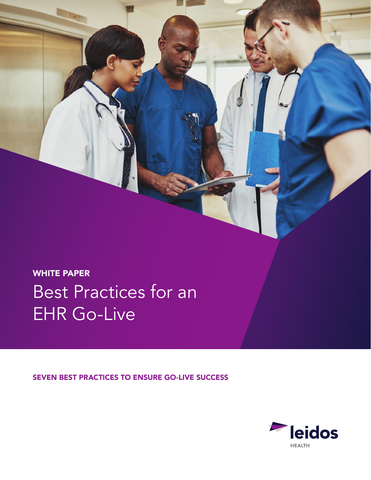WHITE PAPER Best Practices for an EHR Go-Live

SEVEN BEST PRACTICES TO ENSURE GO-LIVE SUCCESS

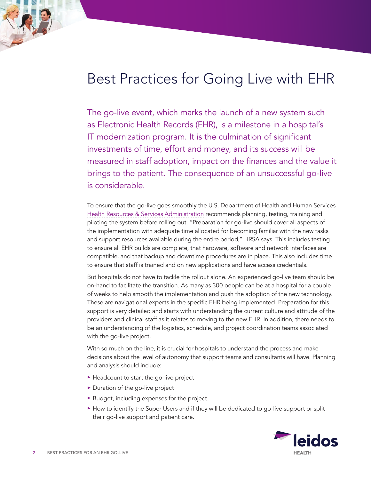# Best Practices for Going Live with EHR

The go-live event, which marks the launch of a new system such as Electronic Health Records (EHR), is a milestone in a hospital's IT modernization program. It is the culmination of significant investments of time, effort and money, and its success will be measured in staff adoption, impact on the finances and the value it brings to the patient. The consequence of an unsuccessful go-live is considerable.

To ensure that the go-live goes smoothly the U.S. Department of Health and Human Services [Health Resources & Services Administration](https://www.hrsa.gov/healthit/toolbox/RuralHealthITtoolbox/Selection/golive.html) recommends planning, testing, training and piloting the system before rolling out. "Preparation for go-live should cover all aspects of the implementation with adequate time allocated for becoming familiar with the new tasks and support resources available during the entire period," HRSA says. This includes testing to ensure all EHR builds are complete, that hardware, software and network interfaces are compatible, and that backup and downtime procedures are in place. This also includes time to ensure that staff is trained and on new applications and have access credentials.

But hospitals do not have to tackle the rollout alone. An experienced go-live team should be on-hand to facilitate the transition. As many as 300 people can be at a hospital for a couple of weeks to help smooth the implementation and push the adoption of the new technology. These are navigational experts in the specific EHR being implemented. Preparation for this support is very detailed and starts with understanding the current culture and attitude of the providers and clinical staff as it relates to moving to the new EHR. In addition, there needs to be an understanding of the logistics, schedule, and project coordination teams associated with the go-live project.

With so much on the line, it is crucial for hospitals to understand the process and make decisions about the level of autonomy that support teams and consultants will have. Planning and analysis should include:

- ► Headcount to start the go-live project
- ► Duration of the go-live project
- ► Budget, including expenses for the project.
- ► How to identify the Super Users and if they will be dedicated to go-live support or split their go-live support and patient care.

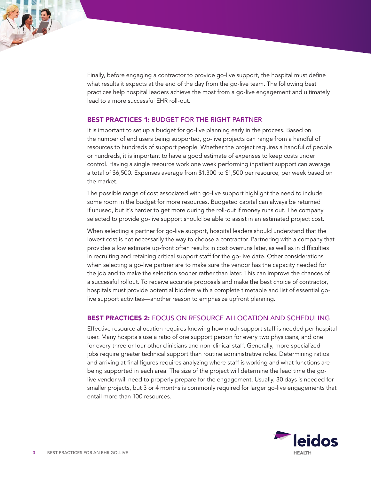Finally, before engaging a contractor to provide go-live support, the hospital must define what results it expects at the end of the day from the go-live team. The following best practices help hospital leaders achieve the most from a go-live engagement and ultimately lead to a more successful EHR roll-out.

## BEST PRACTICES 1: BUDGET FOR THE RIGHT PARTNER

It is important to set up a budget for go-live planning early in the process. Based on the number of end users being supported, go-live projects can range from a handful of resources to hundreds of support people. Whether the project requires a handful of people or hundreds, it is important to have a good estimate of expenses to keep costs under control. Having a single resource work one week performing inpatient support can average a total of \$6,500. Expenses average from \$1,300 to \$1,500 per resource, per week based on the market.

The possible range of cost associated with go-live support highlight the need to include some room in the budget for more resources. Budgeted capital can always be returned if unused, but it's harder to get more during the roll-out if money runs out. The company selected to provide go-live support should be able to assist in an estimated project cost.

When selecting a partner for go-live support, hospital leaders should understand that the lowest cost is not necessarily the way to choose a contractor. Partnering with a company that provides a low estimate up-front often results in cost overruns later, as well as in difficulties in recruiting and retaining critical support staff for the go-live date. Other considerations when selecting a go-live partner are to make sure the vendor has the capacity needed for the job and to make the selection sooner rather than later. This can improve the chances of a successful rollout. To receive accurate proposals and make the best choice of contractor, hospitals must provide potential bidders with a complete timetable and list of essential golive support activities—another reason to emphasize upfront planning.

#### BEST PRACTICES 2: FOCUS ON RESOURCE ALLOCATION AND SCHEDULING

Effective resource allocation requires knowing how much support staff is needed per hospital user. Many hospitals use a ratio of one support person for every two physicians, and one for every three or four other clinicians and non-clinical staff. Generally, more specialized jobs require greater technical support than routine administrative roles. Determining ratios and arriving at final figures requires analyzing where staff is working and what functions are being supported in each area. The size of the project will determine the lead time the golive vendor will need to properly prepare for the engagement. Usually, 30 days is needed for smaller projects, but 3 or 4 months is commonly required for larger go-live engagements that entail more than 100 resources.

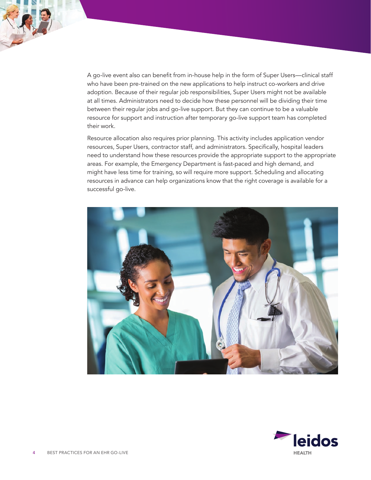A go-live event also can benefit from in-house help in the form of Super Users—clinical staff who have been pre-trained on the new applications to help instruct co-workers and drive adoption. Because of their regular job responsibilities, Super Users might not be available at all times. Administrators need to decide how these personnel will be dividing their time between their regular jobs and go-live support. But they can continue to be a valuable resource for support and instruction after temporary go-live support team has completed their work.

Resource allocation also requires prior planning. This activity includes application vendor resources, Super Users, contractor staff, and administrators. Specifically, hospital leaders need to understand how these resources provide the appropriate support to the appropriate areas. For example, the Emergency Department is fast-paced and high demand, and might have less time for training, so will require more support. Scheduling and allocating resources in advance can help organizations know that the right coverage is available for a successful go-live.



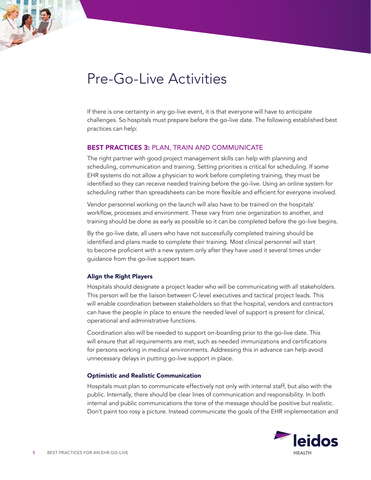## Pre-Go-Live Activities

If there is one certainty in any go-live event, it is that everyone will have to anticipate challenges. So hospitals must prepare before the go-live date. The following established best practices can help:

### BEST PRACTICES 3: PLAN, TRAIN AND COMMUNICATE

The right partner with good project management skills can help with planning and scheduling, communication and training. Setting priorities is critical for scheduling. If some EHR systems do not allow a physician to work before completing training, they must be identified so they can receive needed training before the go-live. Using an online system for scheduling rather than spreadsheets can be more flexible and efficient for everyone involved.

Vendor personnel working on the launch will also have to be trained on the hospitals' workflow, processes and environment. These vary from one organization to another, and training should be done as early as possible so it can be completed before the go-live begins.

By the go-live date, all users who have not successfully completed training should be identified and plans made to complete their training. Most clinical personnel will start to become proficient with a new system only after they have used it several times under guidance from the go-live support team.

#### Align the Right Players

Hospitals should designate a project leader who will be communicating with all stakeholders. This person will be the liaison between C-level executives and tactical project leads. This will enable coordination between stakeholders so that the hospital, vendors and contractors can have the people in place to ensure the needed level of support is present for clinical, operational and administrative functions.

Coordination also will be needed to support on-boarding prior to the go-live date. This will ensure that all requirements are met, such as needed immunizations and certifications for persons working in medical environments. Addressing this in advance can help avoid unnecessary delays in putting go-live support in place.

#### Optimistic and Realistic Communication

Hospitals must plan to communicate effectively not only with internal staff, but also with the public. Internally, there should be clear lines of communication and responsibility. In both internal and public communications the tone of the message should be positive but realistic. Don't paint too rosy a picture. Instead communicate the goals of the EHR implementation and

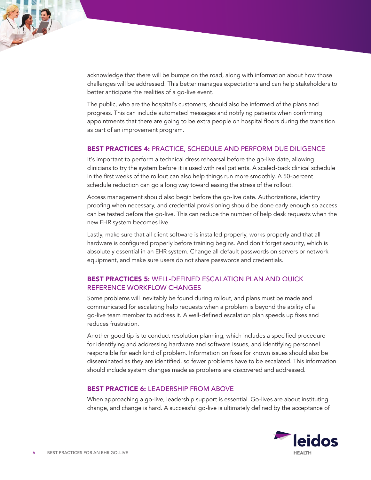

The public, who are the hospital's customers, should also be informed of the plans and progress. This can include automated messages and notifying patients when confirming appointments that there are going to be extra people on hospital floors during the transition as part of an improvement program.

#### BEST PRACTICES 4: PRACTICE, SCHEDULE AND PERFORM DUE DILIGENCE

It's important to perform a technical dress rehearsal before the go-live date, allowing clinicians to try the system before it is used with real patients. A scaled-back clinical schedule in the first weeks of the rollout can also help things run more smoothly. A 50-percent schedule reduction can go a long way toward easing the stress of the rollout.

Access management should also begin before the go-live date. Authorizations, identity proofing when necessary, and credential provisioning should be done early enough so access can be tested before the go-live. This can reduce the number of help desk requests when the new EHR system becomes live.

Lastly, make sure that all client software is installed properly, works properly and that all hardware is configured properly before training begins. And don't forget security, which is absolutely essential in an EHR system. Change all default passwords on servers or network equipment, and make sure users do not share passwords and credentials.

## BEST PRACTICES 5: WELL-DEFINED ESCALATION PLAN AND QUICK REFERENCE WORKFLOW CHANGES

Some problems will inevitably be found during rollout, and plans must be made and communicated for escalating help requests when a problem is beyond the ability of a go-live team member to address it. A well-defined escalation plan speeds up fixes and reduces frustration.

Another good tip is to conduct resolution planning, which includes a specified procedure for identifying and addressing hardware and software issues, and identifying personnel responsible for each kind of problem. Information on fixes for known issues should also be disseminated as they are identified, so fewer problems have to be escalated. This information should include system changes made as problems are discovered and addressed.

#### BEST PRACTICE 6: LEADERSHIP FROM ABOVE

When approaching a go-live, leadership support is essential. Go-lives are about instituting change, and change is hard. A successful go-live is ultimately defined by the acceptance of

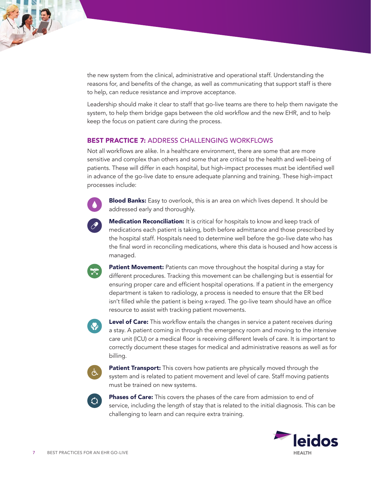

Leadership should make it clear to staff that go-live teams are there to help them navigate the system, to help them bridge gaps between the old workflow and the new EHR, and to help keep the focus on patient care during the process.

## **BEST PRACTICE 7: ADDRESS CHALLENGING WORKFLOWS**

Not all workflows are alike. In a healthcare environment, there are some that are more sensitive and complex than others and some that are critical to the health and well-being of patients. These will differ in each hospital, but high-impact processes must be identified well in advance of the go-live date to ensure adequate planning and training. These high-impact processes include:



Blood Banks: Easy to overlook, this is an area on which lives depend. It should be addressed early and thoroughly.

Medication Reconciliation: It is critical for hospitals to know and keep track of medications each patient is taking, both before admittance and those prescribed by the hospital staff. Hospitals need to determine well before the go-live date who has the final word in reconciling medications, where this data is housed and how access is managed.

Patient Movement: Patients can move throughout the hospital during a stay for different procedures. Tracking this movement can be challenging but is essential for ensuring proper care and efficient hospital operations. If a patient in the emergency department is taken to radiology, a process is needed to ensure that the ER bed isn't filled while the patient is being x-rayed. The go-live team should have an office resource to assist with tracking patient movements.



**Level of Care:** This workflow entails the changes in service a patent receives during a stay. A patient coming in through the emergency room and moving to the intensive care unit (ICU) or a medical floor is receiving different levels of care. It is important to correctly document these stages for medical and administrative reasons as well as for billing.



**Patient Transport:** This covers how patients are physically moved through the system and is related to patient movement and level of care. Staff moving patients must be trained on new systems.



Phases of Care: This covers the phases of the care from admission to end of service, including the length of stay that is related to the initial diagnosis. This can be challenging to learn and can require extra training.

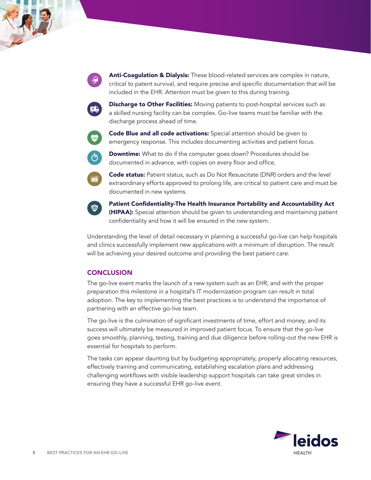Anti-Coagulation & Dialysis: These blood-related services are complex in nature, critical to patent survival, and require precise and specific documentation that will be included in the EHR. Attention must be given to this during training.



Discharge to Other Facilities: Moving patients to post-hospital services such as a skilled nursing facility can be complex. Go-live teams must be familiar with the discharge process ahead of time.



Code Blue and all code activations: Special attention should be given to emergency response. This includes documenting activities and patient focus.



**Downtime:** What to do if the computer goes down? Procedures should be documented in advance, with copies on every floor and office.



Code status: Patient status, such as Do Not Resuscitate (DNR) orders and the level extraordinary efforts approved to prolong life, are critical to patient care and must be documented in new systems.



Patient Confidentiality-The Health Insurance Portability and Accountability Act (HIPAA): Special attention should be given to understanding and maintaining patient confidentiality and how it will be ensured in the new system.

Understanding the level of detail necessary in planning a successful go-live can help hospitals and clinics successfully implement new applications with a minimum of disruption. The result will be achieving your desired outcome and providing the best patient care.

## **CONCLUSION**

The go-live event marks the launch of a new system such as an EHR, and with the proper preparation this milestone in a hospital's IT modernization program can result in total adoption. The key to implementing the best practices is to understand the importance of partnering with an effective go-live team.

The go-live is the culmination of significant investments of time, effort and money, and its success will ultimately be measured in improved patient focus. To ensure that the go-live goes smoothly, planning, testing, training and due diligence before rolling-out the new EHR is essential for hospitals to perform.

The tasks can appear daunting but by budgeting appropriately, properly allocating resources, effectively training and communicating, establishing escalation plans and addressing challenging workflows with visible leadership support hospitals can take great strides in ensuring they have a successful EHR go-live event.